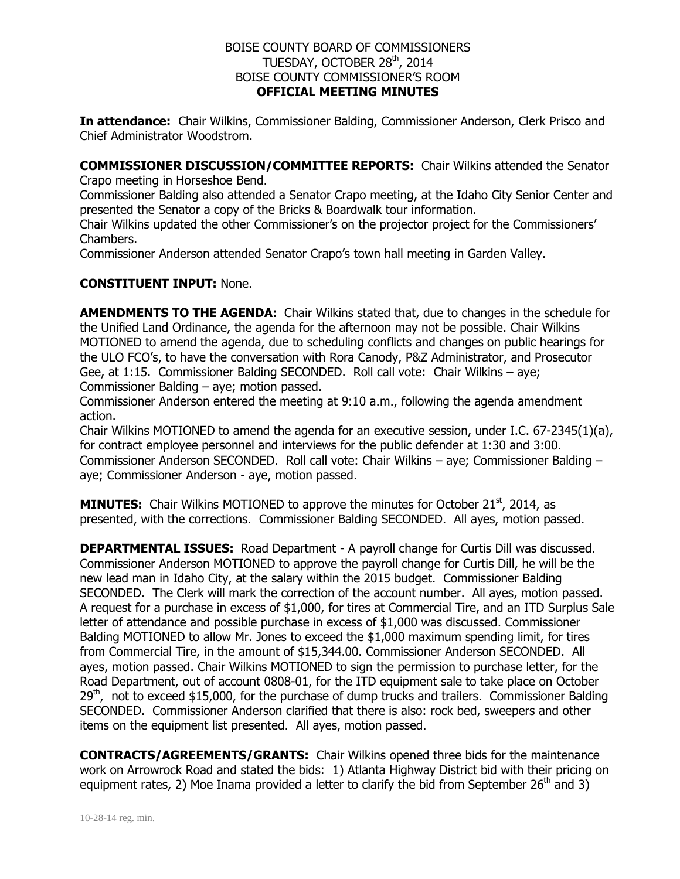## BOISE COUNTY BOARD OF COMMISSIONERS TUESDAY, OCTOBER 28<sup>th</sup>, 2014 BOISE COUNTY COMMISSIONER'S ROOM **OFFICIAL MEETING MINUTES**

**In attendance:** Chair Wilkins, Commissioner Balding, Commissioner Anderson, Clerk Prisco and Chief Administrator Woodstrom.

**COMMISSIONER DISCUSSION/COMMITTEE REPORTS:** Chair Wilkins attended the Senator Crapo meeting in Horseshoe Bend.

Commissioner Balding also attended a Senator Crapo meeting, at the Idaho City Senior Center and presented the Senator a copy of the Bricks & Boardwalk tour information.

Chair Wilkins updated the other Commissioner's on the projector project for the Commissioners' Chambers.

Commissioner Anderson attended Senator Crapo's town hall meeting in Garden Valley.

## **CONSTITUENT INPUT:** None.

**AMENDMENTS TO THE AGENDA:** Chair Wilkins stated that, due to changes in the schedule for the Unified Land Ordinance, the agenda for the afternoon may not be possible. Chair Wilkins MOTIONED to amend the agenda, due to scheduling conflicts and changes on public hearings for the ULO FCO's, to have the conversation with Rora Canody, P&Z Administrator, and Prosecutor Gee, at 1:15. Commissioner Balding SECONDED. Roll call vote: Chair Wilkins – aye; Commissioner Balding – aye; motion passed.

Commissioner Anderson entered the meeting at 9:10 a.m., following the agenda amendment action.

Chair Wilkins MOTIONED to amend the agenda for an executive session, under I.C. 67-2345(1)(a), for contract employee personnel and interviews for the public defender at 1:30 and 3:00. Commissioner Anderson SECONDED. Roll call vote: Chair Wilkins – aye; Commissioner Balding – aye; Commissioner Anderson - aye, motion passed.

**MINUTES:** Chair Wilkins MOTIONED to approve the minutes for October 21<sup>st</sup>, 2014, as presented, with the corrections. Commissioner Balding SECONDED. All ayes, motion passed.

**DEPARTMENTAL ISSUES:** Road Department - A payroll change for Curtis Dill was discussed. Commissioner Anderson MOTIONED to approve the payroll change for Curtis Dill, he will be the new lead man in Idaho City, at the salary within the 2015 budget. Commissioner Balding SECONDED. The Clerk will mark the correction of the account number. All ayes, motion passed. A request for a purchase in excess of \$1,000, for tires at Commercial Tire, and an ITD Surplus Sale letter of attendance and possible purchase in excess of \$1,000 was discussed. Commissioner Balding MOTIONED to allow Mr. Jones to exceed the \$1,000 maximum spending limit, for tires from Commercial Tire, in the amount of \$15,344.00. Commissioner Anderson SECONDED. All ayes, motion passed. Chair Wilkins MOTIONED to sign the permission to purchase letter, for the Road Department, out of account 0808-01, for the ITD equipment sale to take place on October  $29<sup>th</sup>$ , not to exceed \$15,000, for the purchase of dump trucks and trailers. Commissioner Balding SECONDED. Commissioner Anderson clarified that there is also: rock bed, sweepers and other items on the equipment list presented. All ayes, motion passed.

**CONTRACTS/AGREEMENTS/GRANTS:** Chair Wilkins opened three bids for the maintenance work on Arrowrock Road and stated the bids: 1) Atlanta Highway District bid with their pricing on equipment rates, 2) Moe Inama provided a letter to clarify the bid from September 26<sup>th</sup> and 3)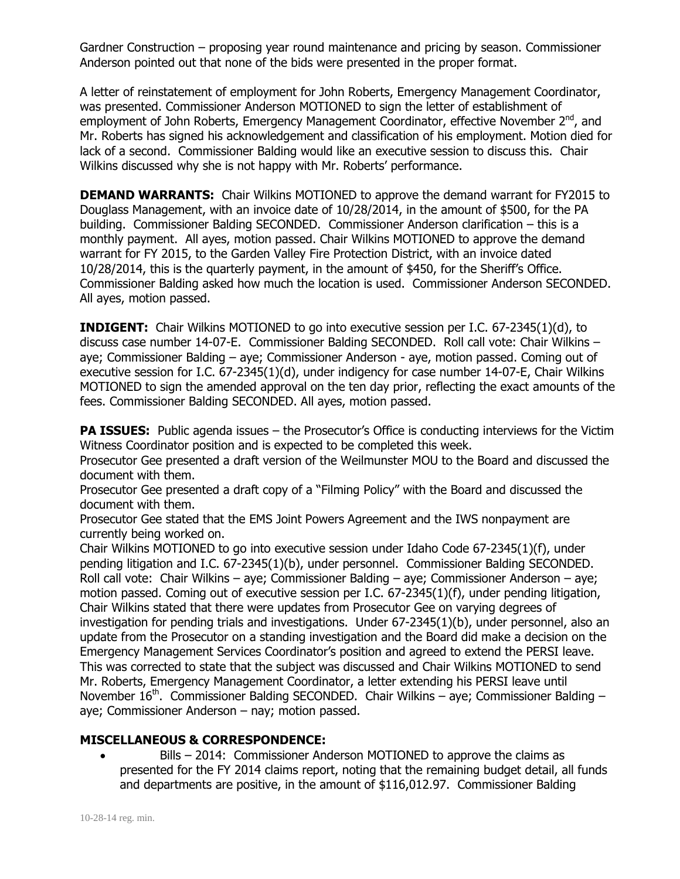Gardner Construction – proposing year round maintenance and pricing by season. Commissioner Anderson pointed out that none of the bids were presented in the proper format.

A letter of reinstatement of employment for John Roberts, Emergency Management Coordinator, was presented. Commissioner Anderson MOTIONED to sign the letter of establishment of employment of John Roberts, Emergency Management Coordinator, effective November 2<sup>nd</sup>, and Mr. Roberts has signed his acknowledgement and classification of his employment. Motion died for lack of a second. Commissioner Balding would like an executive session to discuss this. Chair Wilkins discussed why she is not happy with Mr. Roberts' performance.

**DEMAND WARRANTS:** Chair Wilkins MOTIONED to approve the demand warrant for FY2015 to Douglass Management, with an invoice date of 10/28/2014, in the amount of \$500, for the PA building. Commissioner Balding SECONDED. Commissioner Anderson clarification – this is a monthly payment. All ayes, motion passed. Chair Wilkins MOTIONED to approve the demand warrant for FY 2015, to the Garden Valley Fire Protection District, with an invoice dated 10/28/2014, this is the quarterly payment, in the amount of \$450, for the Sheriff's Office. Commissioner Balding asked how much the location is used. Commissioner Anderson SECONDED. All ayes, motion passed.

**INDIGENT:** Chair Wilkins MOTIONED to go into executive session per I.C. 67-2345(1)(d), to discuss case number 14-07-E. Commissioner Balding SECONDED. Roll call vote: Chair Wilkins – aye; Commissioner Balding – aye; Commissioner Anderson - aye, motion passed. Coming out of executive session for I.C. 67-2345(1)(d), under indigency for case number 14-07-E, Chair Wilkins MOTIONED to sign the amended approval on the ten day prior, reflecting the exact amounts of the fees. Commissioner Balding SECONDED. All ayes, motion passed.

**PA ISSUES:** Public agenda issues – the Prosecutor's Office is conducting interviews for the Victim Witness Coordinator position and is expected to be completed this week.

Prosecutor Gee presented a draft version of the Weilmunster MOU to the Board and discussed the document with them.

Prosecutor Gee presented a draft copy of a "Filming Policy" with the Board and discussed the document with them.

Prosecutor Gee stated that the EMS Joint Powers Agreement and the IWS nonpayment are currently being worked on.

Chair Wilkins MOTIONED to go into executive session under Idaho Code 67-2345(1)(f), under pending litigation and I.C. 67-2345(1)(b), under personnel. Commissioner Balding SECONDED. Roll call vote: Chair Wilkins – aye; Commissioner Balding – aye; Commissioner Anderson – aye; motion passed. Coming out of executive session per I.C. 67-2345(1)(f), under pending litigation, Chair Wilkins stated that there were updates from Prosecutor Gee on varying degrees of investigation for pending trials and investigations. Under 67-2345(1)(b), under personnel, also an update from the Prosecutor on a standing investigation and the Board did make a decision on the Emergency Management Services Coordinator's position and agreed to extend the PERSI leave. This was corrected to state that the subject was discussed and Chair Wilkins MOTIONED to send Mr. Roberts, Emergency Management Coordinator, a letter extending his PERSI leave until November 16<sup>th</sup>. Commissioner Balding SECONDED. Chair Wilkins – aye; Commissioner Balding – aye; Commissioner Anderson – nay; motion passed.

## **MISCELLANEOUS & CORRESPONDENCE:**

 Bills – 2014: Commissioner Anderson MOTIONED to approve the claims as presented for the FY 2014 claims report, noting that the remaining budget detail, all funds and departments are positive, in the amount of \$116,012.97. Commissioner Balding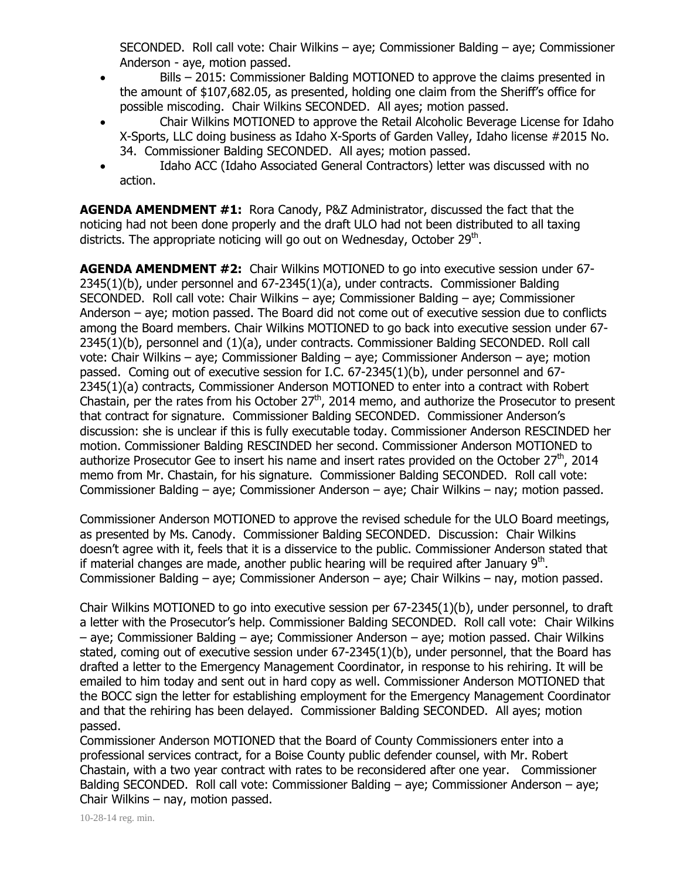SECONDED. Roll call vote: Chair Wilkins – aye; Commissioner Balding – aye; Commissioner Anderson - aye, motion passed.

- Bills 2015: Commissioner Balding MOTIONED to approve the claims presented in the amount of \$107,682.05, as presented, holding one claim from the Sheriff's office for possible miscoding. Chair Wilkins SECONDED. All ayes; motion passed.
- Chair Wilkins MOTIONED to approve the Retail Alcoholic Beverage License for Idaho X-Sports, LLC doing business as Idaho X-Sports of Garden Valley, Idaho license #2015 No. 34. Commissioner Balding SECONDED. All ayes; motion passed.
- Idaho ACC (Idaho Associated General Contractors) letter was discussed with no action.

**AGENDA AMENDMENT #1:** Rora Canody, P&Z Administrator, discussed the fact that the noticing had not been done properly and the draft ULO had not been distributed to all taxing districts. The appropriate noticing will go out on Wednesday, October 29<sup>th</sup>.

**AGENDA AMENDMENT #2:** Chair Wilkins MOTIONED to go into executive session under 67- 2345(1)(b), under personnel and 67-2345(1)(a), under contracts. Commissioner Balding SECONDED. Roll call vote: Chair Wilkins – aye; Commissioner Balding – aye; Commissioner Anderson – aye; motion passed. The Board did not come out of executive session due to conflicts among the Board members. Chair Wilkins MOTIONED to go back into executive session under 67- 2345(1)(b), personnel and (1)(a), under contracts. Commissioner Balding SECONDED. Roll call vote: Chair Wilkins – aye; Commissioner Balding – aye; Commissioner Anderson – aye; motion passed. Coming out of executive session for I.C. 67-2345(1)(b), under personnel and 67- 2345(1)(a) contracts, Commissioner Anderson MOTIONED to enter into a contract with Robert Chastain, per the rates from his October  $27<sup>th</sup>$ , 2014 memo, and authorize the Prosecutor to present that contract for signature. Commissioner Balding SECONDED. Commissioner Anderson's discussion: she is unclear if this is fully executable today. Commissioner Anderson RESCINDED her motion. Commissioner Balding RESCINDED her second. Commissioner Anderson MOTIONED to authorize Prosecutor Gee to insert his name and insert rates provided on the October 27<sup>th</sup>, 2014 memo from Mr. Chastain, for his signature. Commissioner Balding SECONDED. Roll call vote: Commissioner Balding – aye; Commissioner Anderson – aye; Chair Wilkins – nay; motion passed.

Commissioner Anderson MOTIONED to approve the revised schedule for the ULO Board meetings, as presented by Ms. Canody. Commissioner Balding SECONDED. Discussion: Chair Wilkins doesn't agree with it, feels that it is a disservice to the public. Commissioner Anderson stated that if material changes are made, another public hearing will be required after January  $9<sup>th</sup>$ . Commissioner Balding – aye; Commissioner Anderson – aye; Chair Wilkins – nay, motion passed.

Chair Wilkins MOTIONED to go into executive session per 67-2345(1)(b), under personnel, to draft a letter with the Prosecutor's help. Commissioner Balding SECONDED. Roll call vote: Chair Wilkins – aye; Commissioner Balding – aye; Commissioner Anderson – aye; motion passed. Chair Wilkins stated, coming out of executive session under 67-2345(1)(b), under personnel, that the Board has drafted a letter to the Emergency Management Coordinator, in response to his rehiring. It will be emailed to him today and sent out in hard copy as well. Commissioner Anderson MOTIONED that the BOCC sign the letter for establishing employment for the Emergency Management Coordinator and that the rehiring has been delayed. Commissioner Balding SECONDED. All ayes; motion passed.

Commissioner Anderson MOTIONED that the Board of County Commissioners enter into a professional services contract, for a Boise County public defender counsel, with Mr. Robert Chastain, with a two year contract with rates to be reconsidered after one year. Commissioner Balding SECONDED. Roll call vote: Commissioner Balding – aye; Commissioner Anderson – aye; Chair Wilkins – nay, motion passed.